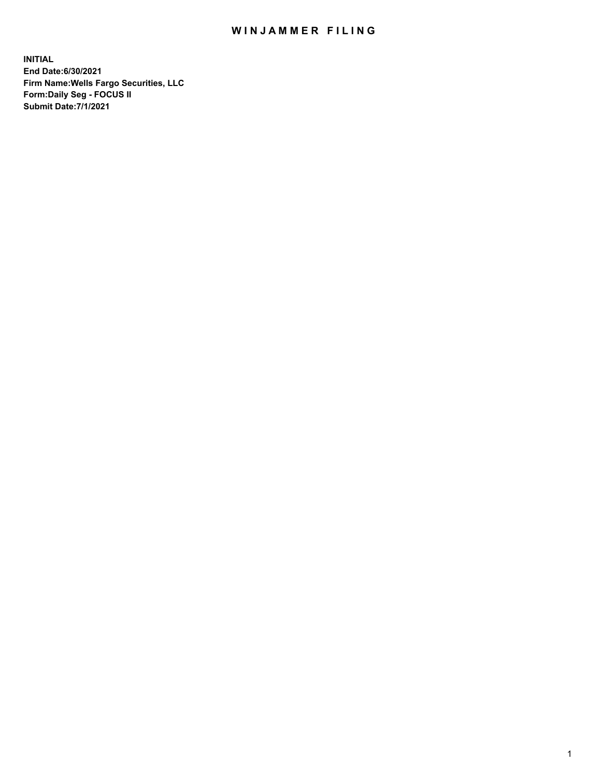## WIN JAMMER FILING

**INITIAL End Date:6/30/2021 Firm Name:Wells Fargo Securities, LLC Form:Daily Seg - FOCUS II Submit Date:7/1/2021**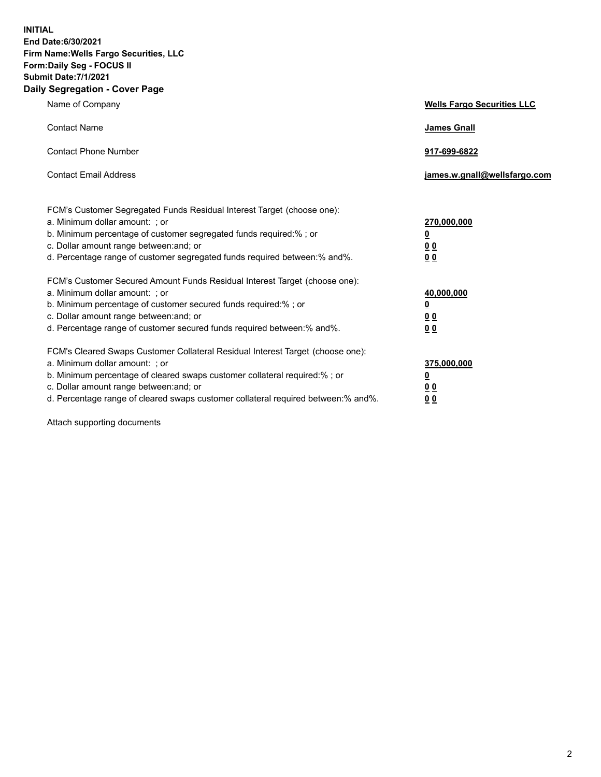**INITIAL End Date:6/30/2021 Firm Name:Wells Fargo Securities, LLC Form:Daily Seg - FOCUS II Submit Date:7/1/2021 Daily Segregation - Cover Page**

| Name of Company                                                                                                                                                                                                                                                                                                                | <b>Wells Fargo Securities LLC</b>                           |
|--------------------------------------------------------------------------------------------------------------------------------------------------------------------------------------------------------------------------------------------------------------------------------------------------------------------------------|-------------------------------------------------------------|
| <b>Contact Name</b>                                                                                                                                                                                                                                                                                                            | <b>James Gnall</b>                                          |
| <b>Contact Phone Number</b>                                                                                                                                                                                                                                                                                                    | 917-699-6822                                                |
| <b>Contact Email Address</b>                                                                                                                                                                                                                                                                                                   | james.w.gnall@wellsfargo.com                                |
| FCM's Customer Segregated Funds Residual Interest Target (choose one):<br>a. Minimum dollar amount: ; or<br>b. Minimum percentage of customer segregated funds required:% ; or<br>c. Dollar amount range between: and; or<br>d. Percentage range of customer segregated funds required between:% and%.                         | 270,000,000<br><u>0</u><br>0 <sub>0</sub><br>0 <sub>0</sub> |
| FCM's Customer Secured Amount Funds Residual Interest Target (choose one):<br>a. Minimum dollar amount: ; or<br>b. Minimum percentage of customer secured funds required:%; or<br>c. Dollar amount range between: and; or<br>d. Percentage range of customer secured funds required between:% and%.                            | 40,000,000<br><u>0</u><br>00<br>0 <sub>0</sub>              |
| FCM's Cleared Swaps Customer Collateral Residual Interest Target (choose one):<br>a. Minimum dollar amount: ; or<br>b. Minimum percentage of cleared swaps customer collateral required:% ; or<br>c. Dollar amount range between: and; or<br>d. Percentage range of cleared swaps customer collateral required between:% and%. | 375,000,000<br><u>0</u><br>0 <sub>0</sub><br>00             |

Attach supporting documents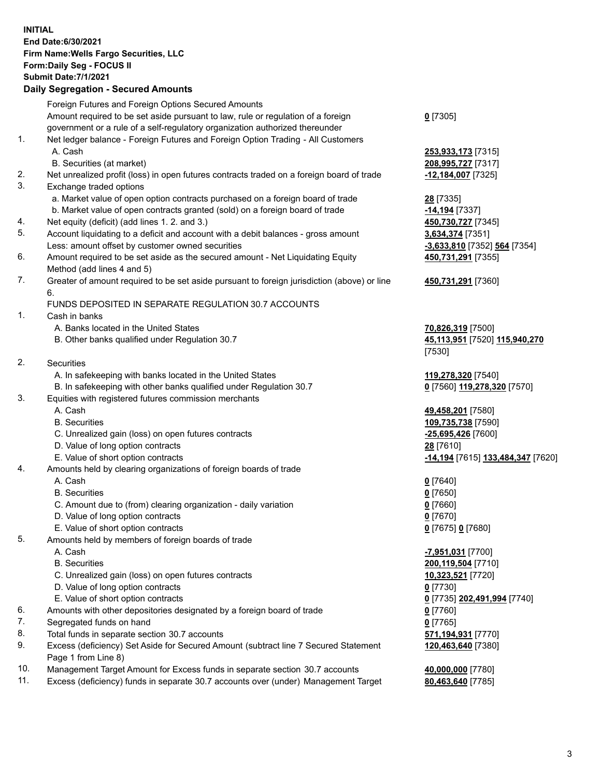**INITIAL End Date:6/30/2021 Firm Name:Wells Fargo Securities, LLC Form:Daily Seg - FOCUS II Submit Date:7/1/2021 Daily Segregation - Secured Amounts** Foreign Futures and Foreign Options Secured Amounts Amount required to be set aside pursuant to law, rule or regulation of a foreign government or a rule of a self-regulatory organization authorized thereunder **0** [7305] 1. Net ledger balance - Foreign Futures and Foreign Option Trading - All Customers A. Cash **253,933,173** [7315] B. Securities (at market) **208,995,727** [7317] 2. Net unrealized profit (loss) in open futures contracts traded on a foreign board of trade **-12,184,007** [7325] 3. Exchange traded options a. Market value of open option contracts purchased on a foreign board of trade **28** [7335] b. Market value of open contracts granted (sold) on a foreign board of trade **-14,194** [7337] 4. Net equity (deficit) (add lines 1. 2. and 3.) **450,730,727** [7345] 5. Account liquidating to a deficit and account with a debit balances - gross amount **3,634,374** [7351] Less: amount offset by customer owned securities **-3,633,810** [7352] **564** [7354] 6. Amount required to be set aside as the secured amount - Net Liquidating Equity Method (add lines 4 and 5) **450,731,291** [7355] 7. Greater of amount required to be set aside pursuant to foreign jurisdiction (above) or line 6. **450,731,291** [7360] FUNDS DEPOSITED IN SEPARATE REGULATION 30.7 ACCOUNTS 1. Cash in banks A. Banks located in the United States **70,826,319** [7500] B. Other banks qualified under Regulation 30.7 **45,113,951** [7520] **115,940,270** [7530] 2. Securities A. In safekeeping with banks located in the United States **119,278,320** [7540] B. In safekeeping with other banks qualified under Regulation 30.7 **0** [7560] **119,278,320** [7570] 3. Equities with registered futures commission merchants A. Cash **49,458,201** [7580] B. Securities **109,735,738** [7590] C. Unrealized gain (loss) on open futures contracts **-25,695,426** [7600] D. Value of long option contracts **28** [7610] E. Value of short option contracts **-14,194** [7615] **133,484,347** [7620] 4. Amounts held by clearing organizations of foreign boards of trade A. Cash **0** [7640] B. Securities **0** [7650] C. Amount due to (from) clearing organization - daily variation **0** [7660] D. Value of long option contracts **0** [7670] E. Value of short option contracts **0** [7675] **0** [7680] 5. Amounts held by members of foreign boards of trade A. Cash **-7,951,031** [7700] B. Securities **200,119,504** [7710] C. Unrealized gain (loss) on open futures contracts **10,323,521** [7720] D. Value of long option contracts **0** [7730] E. Value of short option contracts **0** [7735] **202,491,994** [7740] 6. Amounts with other depositories designated by a foreign board of trade **0** [7760] 7. Segregated funds on hand **0** [7765] 8. Total funds in separate section 30.7 accounts **571,194,931** [7770] 9. Excess (deficiency) Set Aside for Secured Amount (subtract line 7 Secured Statement Page 1 from Line 8) **120,463,640** [7380] 10. Management Target Amount for Excess funds in separate section 30.7 accounts **40,000,000** [7780]

11. Excess (deficiency) funds in separate 30.7 accounts over (under) Management Target **80,463,640** [7785]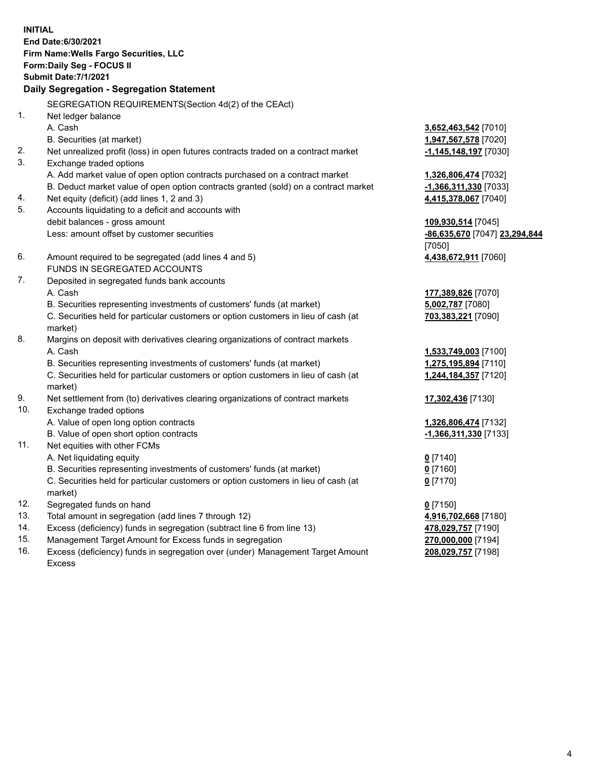**INITIAL End Date:6/30/2021 Firm Name:Wells Fargo Securities, LLC Form:Daily Seg - FOCUS II Submit Date:7/1/2021 Daily Segregation - Segregation Statement** SEGREGATION REQUIREMENTS(Section 4d(2) of the CEAct) 1. Net ledger balance A. Cash **3,652,463,542** [7010] B. Securities (at market) **1,947,567,578** [7020] 2. Net unrealized profit (loss) in open futures contracts traded on a contract market **-1,145,148,197** [7030] 3. Exchange traded options A. Add market value of open option contracts purchased on a contract market **1,326,806,474** [7032] B. Deduct market value of open option contracts granted (sold) on a contract market **-1,366,311,330** [7033] 4. Net equity (deficit) (add lines 1, 2 and 3) **4,415,378,067** [7040] 5. Accounts liquidating to a deficit and accounts with debit balances - gross amount **109,930,514** [7045] Less: amount offset by customer securities **-86,635,670** [7047] **23,294,844** [7050] 6. Amount required to be segregated (add lines 4 and 5) **4,438,672,911** [7060] FUNDS IN SEGREGATED ACCOUNTS 7. Deposited in segregated funds bank accounts A. Cash **177,389,826** [7070] B. Securities representing investments of customers' funds (at market) **5,002,787** [7080] C. Securities held for particular customers or option customers in lieu of cash (at market) **703,383,221** [7090] 8. Margins on deposit with derivatives clearing organizations of contract markets A. Cash **1,533,749,003** [7100] B. Securities representing investments of customers' funds (at market) **1,275,195,894** [7110] C. Securities held for particular customers or option customers in lieu of cash (at market) **1,244,184,357** [7120] 9. Net settlement from (to) derivatives clearing organizations of contract markets **17,302,436** [7130] 10. Exchange traded options A. Value of open long option contracts **1,326,806,474** [7132] B. Value of open short option contracts **and the set of our of the set of our of the set of the set of the set of the set of the set of the set of the set of the set of the set of the set of the set of the set of the set o** 11. Net equities with other FCMs A. Net liquidating equity **0** [7140] B. Securities representing investments of customers' funds (at market) **0** [7160] C. Securities held for particular customers or option customers in lieu of cash (at market) **0** [7170] 12. Segregated funds on hand **0** [7150] 13. Total amount in segregation (add lines 7 through 12) **4,916,702,668** [7180] 14. Excess (deficiency) funds in segregation (subtract line 6 from line 13) **478,029,757** [7190] 15. Management Target Amount for Excess funds in segregation **270,000,000** [7194] **208,029,757** [7198]

16. Excess (deficiency) funds in segregation over (under) Management Target Amount Excess